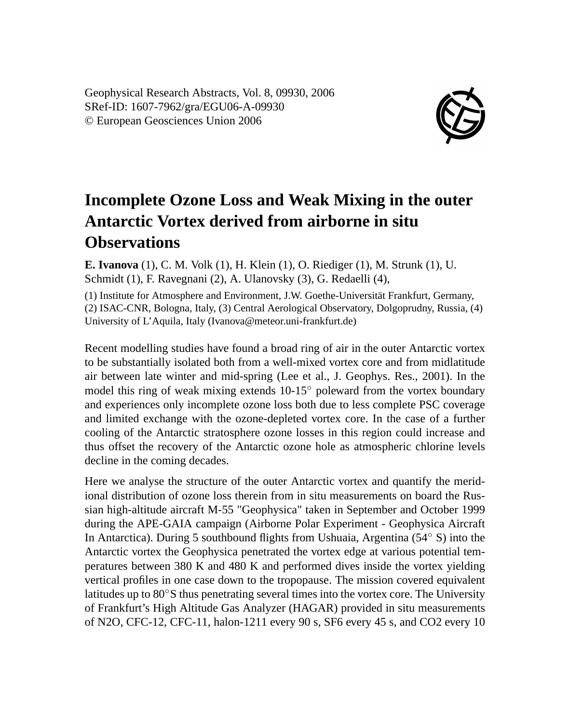Geophysical Research Abstracts, Vol. 8, 09930, 2006 SRef-ID: 1607-7962/gra/EGU06-A-09930 © European Geosciences Union 2006



## **Incomplete Ozone Loss and Weak Mixing in the outer Antarctic Vortex derived from airborne in situ Observations**

**E. Ivanova** (1), C. M. Volk (1), H. Klein (1), O. Riediger (1), M. Strunk (1), U. Schmidt (1), F. Ravegnani (2), A. Ulanovsky (3), G. Redaelli (4),

(1) Institute for Atmosphere and Environment, J.W. Goethe-Universität Frankfurt, Germany, (2) ISAC-CNR, Bologna, Italy, (3) Central Aerological Observatory, Dolgoprudny, Russia, (4) University of L'Aquila, Italy (Ivanova@meteor.uni-frankfurt.de)

Recent modelling studies have found a broad ring of air in the outer Antarctic vortex to be substantially isolated both from a well-mixed vortex core and from midlatitude air between late winter and mid-spring (Lee et al., J. Geophys. Res., 2001). In the model this ring of weak mixing extends  $10-15°$  poleward from the vortex boundary and experiences only incomplete ozone loss both due to less complete PSC coverage and limited exchange with the ozone-depleted vortex core. In the case of a further cooling of the Antarctic stratosphere ozone losses in this region could increase and thus offset the recovery of the Antarctic ozone hole as atmospheric chlorine levels decline in the coming decades.

Here we analyse the structure of the outer Antarctic vortex and quantify the meridional distribution of ozone loss therein from in situ measurements on board the Russian high-altitude aircraft M-55 "Geophysica" taken in September and October 1999 during the APE-GAIA campaign (Airborne Polar Experiment - Geophysica Aircraft In Antarctica). During 5 southbound flights from Ushuaia, Argentina (54◦ S) into the Antarctic vortex the Geophysica penetrated the vortex edge at various potential temperatures between 380 K and 480 K and performed dives inside the vortex yielding vertical profiles in one case down to the tropopause. The mission covered equivalent latitudes up to 80◦S thus penetrating several times into the vortex core. The University of Frankfurt's High Altitude Gas Analyzer (HAGAR) provided in situ measurements of N2O, CFC-12, CFC-11, halon-1211 every 90 s, SF6 every 45 s, and CO2 every 10